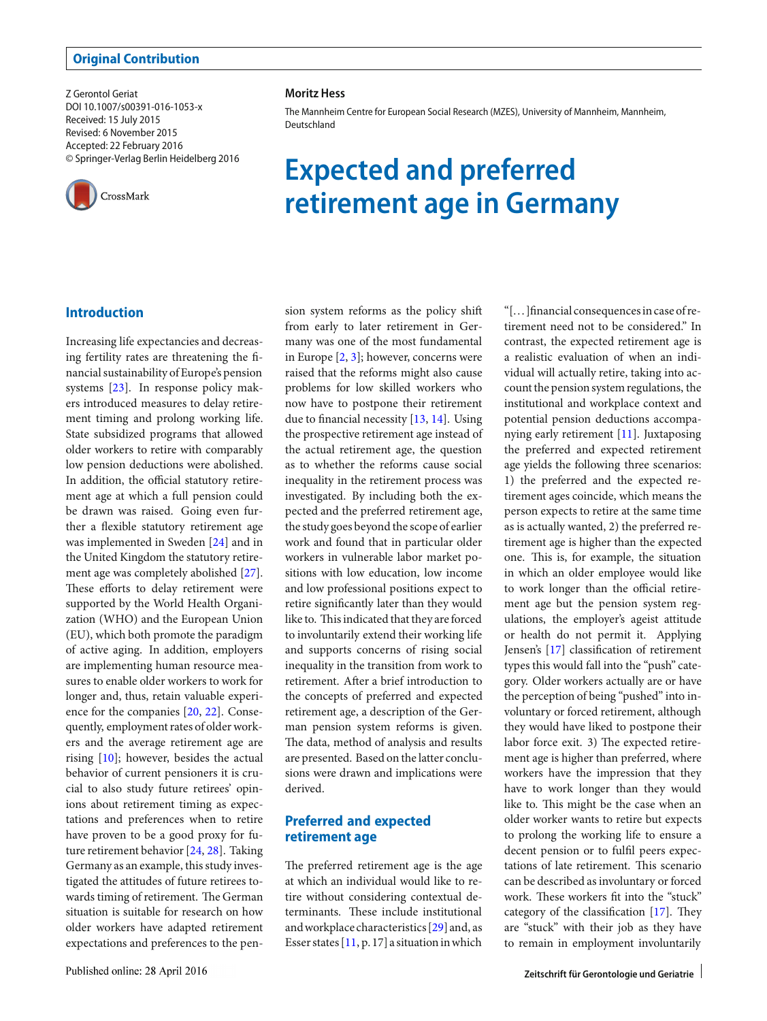# **Original Contribution**

Z Gerontol Geriat DOI 10.1007/s00391-016-1053-x Received: 15 July 2015 Revised: 6 November 2015 Accepted: 22 February 2016 © Springer-Verlag Berlin Heidelberg 2016



### **Moritz Hess**

The Mannheim Centre for European Social Research (MZES), University of Mannheim, Mannheim, Deutschland

# **Expected and preferred retirement age in Germany**

# **Introduction**

Increasing life expectancies and decreasing fertility rates are threatening the financial sustainability of Europe's pension systems [\[23\]](#page-6-0). In response policy makers introduced measures to delay retirement timing and prolong working life. State subsidized programs that allowed older workers to retire with comparably low pension deductions were abolished. In addition, the official statutory retirement age at which a full pension could be drawn was raised. Going even further a flexible statutory retirement age was implemented in Sweden [\[24\]](#page-6-1) and in the United Kingdom the statutory retirement age was completely abolished [\[27\]](#page-6-2). These efforts to delay retirement were supported by the World Health Organization (WHO) and the European Union (EU), which both promote the paradigm of active aging. In addition, employers are implementing human resource measures to enable older workers to work for longer and, thus, retain valuable experience for the companies [\[20,](#page-6-3) [22\]](#page-6-4). Consequently, employment rates of older workers and the average retirement age are rising [\[10\]](#page-6-5); however, besides the actual behavior of current pensioners it is crucial to also study future retirees' opinions about retirement timing as expectations and preferences when to retire have proven to be a good proxy for future retirement behavior [\[24,](#page-6-1) [28\]](#page-6-6). Taking Germany as an example, this study investigated the attitudes of future retirees towards timing of retirement. The German situation is suitable for research on how older workers have adapted retirement expectations and preferences to the pension system reforms as the policy shift from early to later retirement in Germany was one of the most fundamental in Europe  $[2, 3]$  $[2, 3]$  $[2, 3]$ ; however, concerns were raised that the reforms might also cause problems for low skilled workers who now have to postpone their retirement due to financial necessity [\[13,](#page-6-7) [14\]](#page-6-8). Using the prospective retirement age instead of the actual retirement age, the question as to whether the reforms cause social inequality in the retirement process was investigated. By including both the expected and the preferred retirement age, the study goes beyond the scope of earlier work and found that in particular older workers in vulnerable labor market positions with low education, low income and low professional positions expect to retire significantly later than they would like to. This indicated that they are forced to involuntarily extend their working life and supports concerns of rising social inequality in the transition from work to retirement. After a brief introduction to the concepts of preferred and expected retirement age, a description of the German pension system reforms is given. The data, method of analysis and results are presented. Based on the latter conclusions were drawn and implications were derived.

# **Preferred and expected retirement age**

The preferred retirement age is the age at which an individual would like to retire without considering contextual determinants. These include institutional and workplace characteristics [\[29\]](#page-6-9) and, as Esser states  $[11, p. 17]$  $[11, p. 17]$  a situation in which

"[... ]financial consequencesin case of retirement need not to be considered." In contrast, the expected retirement age is a realistic evaluation of when an individual will actually retire, taking into account the pension system regulations, the institutional and workplace context and potential pension deductions accompanying early retirement [\[11\]](#page-6-10). Juxtaposing the preferred and expected retirement age yields the following three scenarios: 1) the preferred and the expected retirement ages coincide, which means the person expects to retire at the same time as is actually wanted, 2) the preferred retirement age is higher than the expected one. This is, for example, the situation in which an older employee would like to work longer than the official retirement age but the pension system regulations, the employer's ageist attitude or health do not permit it. Applying Jensen's [\[17\]](#page-6-11) classification of retirement types this would fall into the "push" category. Older workers actually are or have the perception of being "pushed" into involuntary or forced retirement, although they would have liked to postpone their labor force exit. 3) The expected retirement age is higher than preferred, where workers have the impression that they have to work longer than they would like to. This might be the case when an older worker wants to retire but expects to prolong the working life to ensure a decent pension or to fulfil peers expectations of late retirement. This scenario can be described as involuntary or forced work. These workers fit into the "stuck" category of the classification [\[17\]](#page-6-11). They are "stuck" with their job as they have to remain in employment involuntarily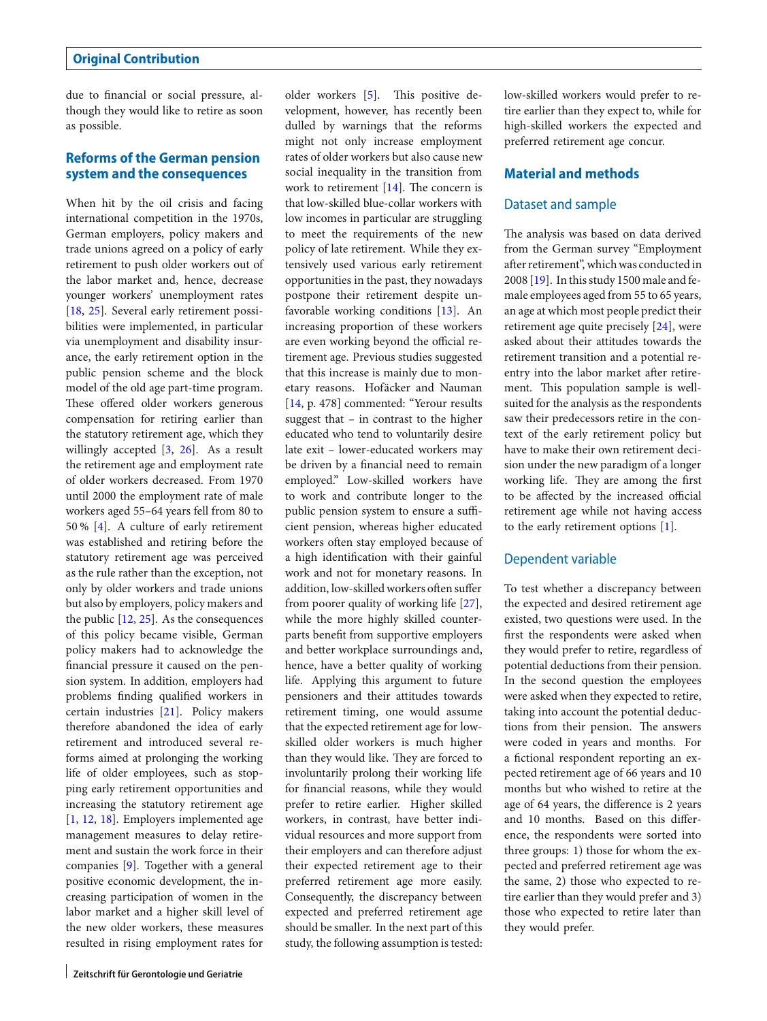due to financial or social pressure, although they would like to retire as soon as possible.

# **Reforms of the German pension system and the consequences**

When hit by the oil crisis and facing international competition in the 1970s, German employers, policy makers and trade unions agreed on a policy of early retirement to push older workers out of the labor market and, hence, decrease younger workers' unemployment rates [\[18,](#page-6-12) [25\]](#page-6-13). Several early retirement possibilities were implemented, in particular via unemployment and disability insurance, the early retirement option in the public pension scheme and the block model of the old age part-time program. These offered older workers generous compensation for retiring earlier than the statutory retirement age, which they willingly accepted [\[3,](#page-5-1) [26\]](#page-6-14). As a result the retirement age and employment rate of older workers decreased. From 1970 until 2000 the employment rate of male workers aged 55–64 years fell from 80 to 50 % [\[4\]](#page-5-2). A culture of early retirement was established and retiring before the statutory retirement age was perceived as the rule rather than the exception, not only by older workers and trade unions but also by employers, policy makers and the public  $[12, 25]$  $[12, 25]$  $[12, 25]$ . As the consequences of this policy became visible, German policy makers had to acknowledge the financial pressure it caused on the pension system. In addition, employers had problems finding qualified workers in certain industries [\[21\]](#page-6-3). Policy makers therefore abandoned the idea of early retirement and introduced several reforms aimed at prolonging the working life of older employees, such as stopping early retirement opportunities and increasing the statutory retirement age [\[1,](#page-5-3) [12,](#page-6-15) [18\]](#page-6-12). Employers implemented age management measures to delay retirement and sustain the work force in their companies [\[9\]](#page-6-16). Together with a general positive economic development, the increasing participation of women in the labor market and a higher skill level of the new older workers, these measures resulted in rising employment rates for

older workers [\[5\]](#page-5-4). This positive development, however, has recently been dulled by warnings that the reforms might not only increase employment rates of older workers but also cause new social inequality in the transition from work to retirement [\[14\]](#page-6-8). The concern is that low-skilled blue-collar workers with low incomes in particular are struggling to meet the requirements of the new policy of late retirement. While they extensively used various early retirement opportunities in the past, they nowadays postpone their retirement despite unfavorable working conditions [\[13\]](#page-6-7). An increasing proportion of these workers are even working beyond the official retirement age. Previous studies suggested that this increase is mainly due to monetary reasons. Hofäcker and Nauman [\[14,](#page-6-8) p. 478] commented: "Yerour results suggest that – in contrast to the higher educated who tend to voluntarily desire late exit – lower-educated workers may be driven by a financial need to remain employed." Low-skilled workers have to work and contribute longer to the public pension system to ensure a sufficient pension, whereas higher educated workers often stay employed because of a high identification with their gainful work and not for monetary reasons. In addition, low-skilled workers often suffer from poorer quality of working life [\[27\]](#page-6-2), while the more highly skilled counterparts benefit from supportive employers and better workplace surroundings and, hence, have a better quality of working life. Applying this argument to future pensioners and their attitudes towards retirement timing, one would assume that the expected retirement age for lowskilled older workers is much higher than they would like. They are forced to involuntarily prolong their working life for financial reasons, while they would prefer to retire earlier. Higher skilled workers, in contrast, have better individual resources and more support from their employers and can therefore adjust their expected retirement age to their preferred retirement age more easily. Consequently, the discrepancy between expected and preferred retirement age should be smaller. In the next part of this study, the following assumption is tested:

low-skilled workers would prefer to retire earlier than they expect to, while for high-skilled workers the expected and preferred retirement age concur.

# **Material and methods**

# Dataset and sample

The analysis was based on data derived from the German survey "Employment after retirement", which was conducted in 2008 [\[19\]](#page-6-17). In this study 1500 male and female employees aged from 55 to 65 years, an age at which most people predict their retirement age quite precisely [\[24\]](#page-6-1), were asked about their attitudes towards the retirement transition and a potential reentry into the labor market after retirement. This population sample is wellsuited for the analysis as the respondents saw their predecessors retire in the context of the early retirement policy but have to make their own retirement decision under the new paradigm of a longer working life. They are among the first to be affected by the increased official retirement age while not having access to the early retirement options [\[1\]](#page-5-3).

# Dependent variable

To test whether a discrepancy between the expected and desired retirement age existed, two questions were used. In the first the respondents were asked when they would prefer to retire, regardless of potential deductions from their pension. In the second question the employees were asked when they expected to retire, taking into account the potential deductions from their pension. The answers were coded in years and months. For a fictional respondent reporting an expected retirement age of 66 years and 10 months but who wished to retire at the age of 64 years, the difference is 2 years and 10 months. Based on this difference, the respondents were sorted into three groups: 1) those for whom the expected and preferred retirement age was the same, 2) those who expected to retire earlier than they would prefer and 3) those who expected to retire later than they would prefer.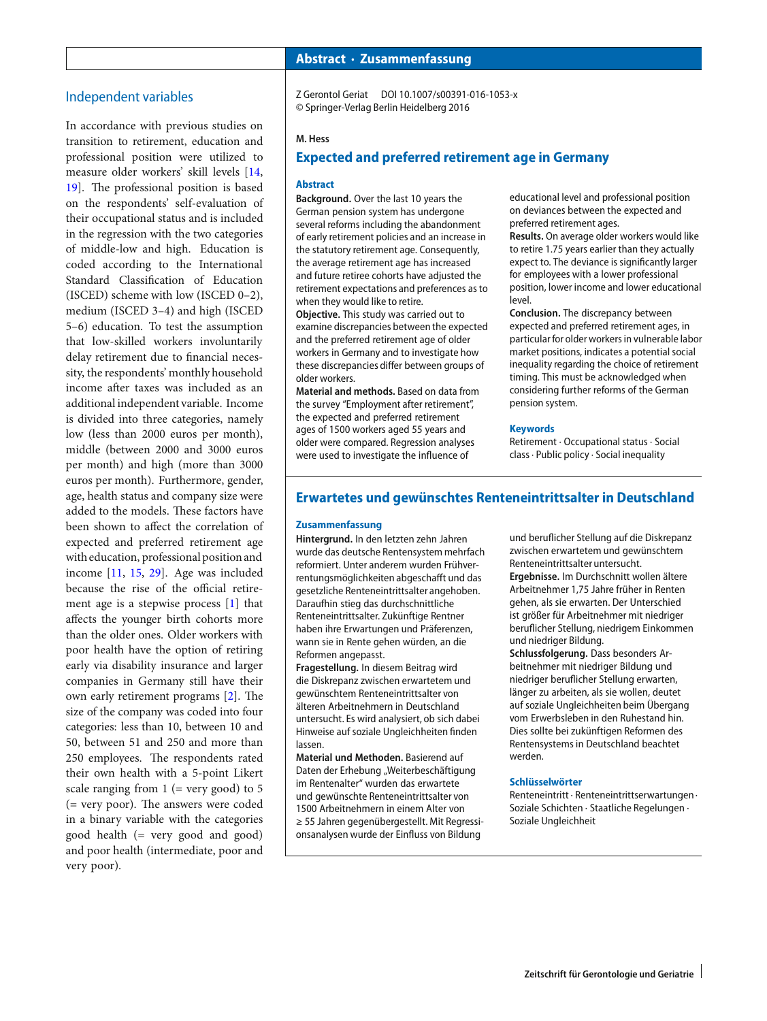## Independent variables

In accordance with previous studies on transition to retirement, education and professional position were utilized to measure older workers' skill levels [\[14,](#page-6-8) [19\]](#page-6-17). The professional position is based on the respondents' self-evaluation of their occupational status and is included in the regression with the two categories of middle-low and high. Education is coded according to the International Standard Classification of Education (ISCED) scheme with low (ISCED 0–2), medium (ISCED 3–4) and high (ISCED 5–6) education. To test the assumption that low-skilled workers involuntarily delay retirement due to financial necessity, the respondents' monthly household income after taxes was included as an additional independent variable. Income is divided into three categories, namely low (less than 2000 euros per month), middle (between 2000 and 3000 euros per month) and high (more than 3000 euros per month). Furthermore, gender, age, health status and company size were added to the models. These factors have been shown to affect the correlation of expected and preferred retirement age with education, professional position and income [\[11,](#page-6-10) [15,](#page-6-18) [29\]](#page-6-9). Age was included because the rise of the official retirement age is a stepwise process [\[1\]](#page-5-3) that affects the younger birth cohorts more than the older ones. Older workers with poor health have the option of retiring early via disability insurance and larger companies in Germany still have their own early retirement programs [\[2\]](#page-5-0). The size of the company was coded into four categories: less than 10, between 10 and 50, between 51 and 250 and more than 250 employees. The respondents rated their own health with a 5-point Likert scale ranging from  $1$  (= very good) to 5 (= very poor). The answers were coded in a binary variable with the categories good health (= very good and good) and poor health (intermediate, poor and very poor).

## **Abstract · Zusammenfassung**

Z Gerontol Geriat DOI 10.1007/s00391-016-1053-x © Springer-Verlag Berlin Heidelberg 2016

#### **M. Hess**

# **Expected and preferred retirement age in Germany**

#### **Abstract**

**Background.** Over the last 10 years the German pension system has undergone several reforms including the abandonment of early retirement policies and an increase in the statutory retirement age. Consequently, the average retirement age has increased and future retiree cohorts have adjusted the retirement expectations and preferences as to when they would like to retire.

**Objective.** This study was carried out to examine discrepancies between the expected and the preferred retirement age of older workers in Germany and to investigate how these discrepancies differ between groups of older workers.

**Material and methods.** Based on data from the survey "Employment after retirement", the expected and preferred retirement ages of 1500 workers aged 55 years and older were compared. Regression analyses were used to investigate the influence of

educational level and professional position on deviances between the expected and preferred retirement ages.

**Results.** On average older workers would like to retire 1.75 years earlier than they actually expect to. The deviance is significantly larger for employees with a lower professional position, lower income and lower educational level.

**Conclusion.** The discrepancy between expected and preferred retirement ages, in particular for older workers in vulnerable labor market positions, indicates a potential social inequality regarding the choice of retirement timing. This must be acknowledged when considering further reforms of the German pension system.

#### **Keywords**

Retirement · Occupational status · Social class · Public policy · Social inequality

# **Erwartetes und gewünschtes Renteneintrittsalter in Deutschland**

## **Zusammenfassung**

**Hintergrund.** In den letzten zehn Jahren wurde das deutsche Rentensystem mehrfach reformiert. Unter anderem wurden Frühverrentungsmöglichkeiten abgeschafft und das gesetzliche Renteneintrittsalter angehoben. Daraufhin stieg das durchschnittliche Renteneintrittsalter. Zukünftige Rentner haben ihre Erwartungen und Präferenzen, wann sie in Rente gehen würden, an die Reformen angepasst.

**Fragestellung.** In diesem Beitrag wird die Diskrepanz zwischen erwartetem und gewünschtem Renteneintrittsalter von älteren Arbeitnehmern in Deutschland untersucht. Es wird analysiert, ob sich dabei Hinweise auf soziale Ungleichheiten finden lassen.

**Material und Methoden.** Basierend auf Daten der Erhebung "Weiterbeschäftigung im Rentenalter" wurden das erwartete und gewünschte Renteneintrittsalter von 1500 Arbeitnehmern in einem Alter von ≥ 55 Jahren gegenübergestellt. Mit Regressionsanalysen wurde der Einfluss von Bildung

und beruflicher Stellung auf die Diskrepanz zwischen erwartetem und gewünschtem Renteneintrittsalter untersucht. **Ergebnisse.** Im Durchschnitt wollen ältere Arbeitnehmer 1,75 Jahre früher in Renten gehen, als sie erwarten. Der Unterschied ist größer für Arbeitnehmer mit niedriger beruflicher Stellung, niedrigem Einkommen und niedriger Bildung.

**Schlussfolgerung.** Dass besonders Arbeitnehmer mit niedriger Bildung und niedriger beruflicher Stellung erwarten, länger zu arbeiten, als sie wollen, deutet auf soziale Ungleichheiten beim Übergang vom Erwerbsleben in den Ruhestand hin. Dies sollte bei zukünftigen Reformen des Rentensystems in Deutschland beachtet werden.

#### **Schlüsselwörter**

Renteneintritt · Renteneintrittserwartungen · Soziale Schichten · Staatliche Regelungen · Soziale Ungleichheit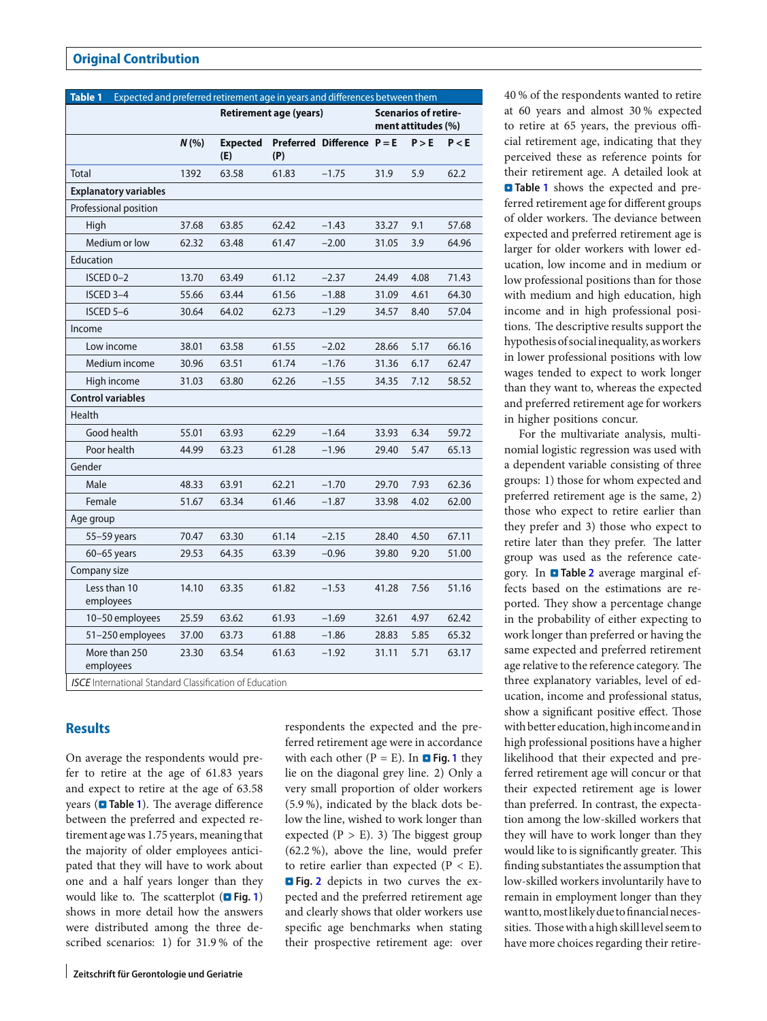# **Original Contribution**

<span id="page-3-0"></span>

| Expected and preferred retirement age in years and differences between them<br><b>Table 1</b> |       |                               |       |                              |                                                   |       |       |  |
|-----------------------------------------------------------------------------------------------|-------|-------------------------------|-------|------------------------------|---------------------------------------------------|-------|-------|--|
|                                                                                               |       | <b>Retirement age (years)</b> |       |                              | <b>Scenarios of retire-</b><br>ment attitudes (%) |       |       |  |
|                                                                                               | N(% ) | <b>Expected</b><br>(E)        | (P)   | Preferred Difference $P = E$ |                                                   | P > E | P < E |  |
| Total                                                                                         | 1392  | 63.58                         | 61.83 | $-1.75$                      | 31.9                                              | 5.9   | 62.2  |  |
| <b>Explanatory variables</b>                                                                  |       |                               |       |                              |                                                   |       |       |  |
| Professional position                                                                         |       |                               |       |                              |                                                   |       |       |  |
| High                                                                                          | 37.68 | 63.85                         | 62.42 | $-1.43$                      | 33.27                                             | 9.1   | 57.68 |  |
| Medium or low                                                                                 | 62.32 | 63.48                         | 61.47 | $-2.00$                      | 31.05                                             | 3.9   | 64.96 |  |
| Education                                                                                     |       |                               |       |                              |                                                   |       |       |  |
| ISCED 0-2                                                                                     | 13.70 | 63.49                         | 61.12 | $-2.37$                      | 24.49                                             | 4.08  | 71.43 |  |
| ISCED 3-4                                                                                     | 55.66 | 63.44                         | 61.56 | $-1.88$                      | 31.09                                             | 4.61  | 64.30 |  |
| ISCED 5-6                                                                                     | 30.64 | 64.02                         | 62.73 | $-1.29$                      | 34.57                                             | 8.40  | 57.04 |  |
| Income                                                                                        |       |                               |       |                              |                                                   |       |       |  |
| Low income                                                                                    | 38.01 | 63.58                         | 61.55 | $-2.02$                      | 28.66                                             | 5.17  | 66.16 |  |
| Medium income                                                                                 | 30.96 | 63.51                         | 61.74 | $-1.76$                      | 31.36                                             | 6.17  | 62.47 |  |
| High income                                                                                   | 31.03 | 63.80                         | 62.26 | $-1.55$                      | 34.35                                             | 7.12  | 58.52 |  |
| <b>Control variables</b>                                                                      |       |                               |       |                              |                                                   |       |       |  |
| Health                                                                                        |       |                               |       |                              |                                                   |       |       |  |
| Good health                                                                                   | 55.01 | 63.93                         | 62.29 | $-1.64$                      | 33.93                                             | 6.34  | 59.72 |  |
| Poor health                                                                                   | 44.99 | 63.23                         | 61.28 | $-1.96$                      | 29.40                                             | 5.47  | 65.13 |  |
| Gender                                                                                        |       |                               |       |                              |                                                   |       |       |  |
| Male                                                                                          | 48.33 | 63.91                         | 62.21 | $-1.70$                      | 29.70                                             | 7.93  | 62.36 |  |
| Female                                                                                        | 51.67 | 63.34                         | 61.46 | $-1.87$                      | 33.98                                             | 4.02  | 62.00 |  |
| Age group                                                                                     |       |                               |       |                              |                                                   |       |       |  |
| 55-59 years                                                                                   | 70.47 | 63.30                         | 61.14 | $-2.15$                      | 28.40                                             | 4.50  | 67.11 |  |
| $60-65$ years                                                                                 | 29.53 | 64.35                         | 63.39 | $-0.96$                      | 39.80                                             | 9.20  | 51.00 |  |
| Company size                                                                                  |       |                               |       |                              |                                                   |       |       |  |
| Less than 10<br>employees                                                                     | 14.10 | 63.35                         | 61.82 | $-1.53$                      | 41.28                                             | 7.56  | 51.16 |  |
| 10-50 employees                                                                               | 25.59 | 63.62                         | 61.93 | $-1.69$                      | 32.61                                             | 4.97  | 62.42 |  |
| 51-250 employees                                                                              | 37.00 | 63.73                         | 61.88 | $-1.86$                      | 28.83                                             | 5.85  | 65.32 |  |
| More than 250<br>employees                                                                    | 23.30 | 63.54                         | 61.63 | $-1.92$                      | 31.11                                             | 5.71  | 63.17 |  |
| <b>ISCE</b> International Standard Classification of Education                                |       |                               |       |                              |                                                   |       |       |  |

# **Results**

On average the respondents would prefer to retire at the age of 61.83 years and expect to retire at the age of 63.58 years ( $\Box$  Table [1](#page-3-0)). The average difference between the preferred and expected retirement age was 1.75 years, meaning that the majority of older employees anticipated that they will have to work about one and a half years longer than they would like to. The scatterplot (**D** Fig. [1](#page-4-0)) shows in more detail how the answers were distributed among the three described scenarios: 1) for 31.9 % of the

respondents the expected and the preferred retirement age were in accordance with each other  $(P = E)$ . In **D** Fig. [1](#page-4-0) they lie on the diagonal grey line. 2) Only a very small proportion of older workers (5.9 %), indicated by the black dots below the line, wished to work longer than expected ( $P > E$ ). 3) The biggest group (62.2 %), above the line, would prefer to retire earlier than expected  $(P < E)$ .  $\blacksquare$  Fig. [2](#page-4-1) depicts in two curves the expected and the preferred retirement age and clearly shows that older workers use specific age benchmarks when stating their prospective retirement age: over 40 % of the respondents wanted to retire at 60 years and almost 30 % expected to retire at 65 years, the previous official retirement age, indicating that they perceived these as reference points for their retirement age. A detailed look at . **Table [1](#page-3-0)** shows the expected and preferred retirement age for different groups of older workers. The deviance between expected and preferred retirement age is larger for older workers with lower education, low income and in medium or low professional positions than for those with medium and high education, high income and in high professional positions. The descriptive results support the hypothesis of socialinequality, asworkers in lower professional positions with low wages tended to expect to work longer than they want to, whereas the expected and preferred retirement age for workers in higher positions concur.

For the multivariate analysis, multinomial logistic regression was used with a dependent variable consisting of three groups: 1) those for whom expected and preferred retirement age is the same, 2) those who expect to retire earlier than they prefer and 3) those who expect to retire later than they prefer. The latter group was used as the reference category. In **D** Table [2](#page-5-5) average marginal effects based on the estimations are reported. They show a percentage change in the probability of either expecting to work longer than preferred or having the same expected and preferred retirement age relative to the reference category. The three explanatory variables, level of education, income and professional status, show a significant positive effect. Those with better education, high income and in high professional positions have a higher likelihood that their expected and preferred retirement age will concur or that their expected retirement age is lower than preferred. In contrast, the expectation among the low-skilled workers that they will have to work longer than they would like to is significantly greater. This finding substantiates the assumption that low-skilled workers involuntarily have to remain in employment longer than they want to, mostlikelydue tofinancialnecessities. Those with a high skill level seem to have more choices regarding their retire-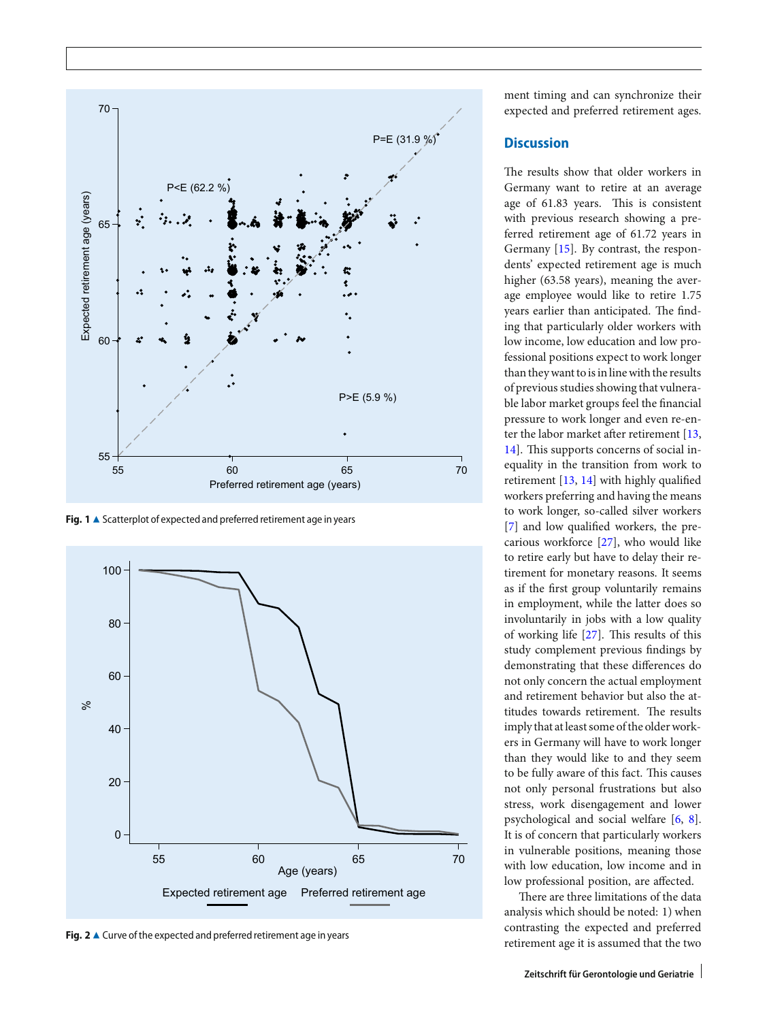

<span id="page-4-0"></span>**Fig. 1** ▲ Scatterplot of expected and preferred retirement age in years



<span id="page-4-1"></span>**Fig. 2** ▲ Curve of the expected and preferred retirement age in years

ment timing and can synchronize their expected and preferred retirement ages.

## **Discussion**

The results show that older workers in Germany want to retire at an average age of 61.83 years. This is consistent with previous research showing a preferred retirement age of 61.72 years in Germany [\[15\]](#page-6-18). By contrast, the respondents' expected retirement age is much higher (63.58 years), meaning the average employee would like to retire 1.75 years earlier than anticipated. The finding that particularly older workers with low income, low education and low professional positions expect to work longer than they want to is in line with the results of previous studies showing that vulnerable labor market groups feel the financial pressure to work longer and even re-enter the labor market after retirement [\[13,](#page-6-7) [14\]](#page-6-8). This supports concerns of social inequality in the transition from work to retirement [\[13,](#page-6-7) [14\]](#page-6-8) with highly qualified workers preferring and having the means to work longer, so-called silver workers [\[7\]](#page-6-19) and low qualified workers, the precarious workforce [\[27\]](#page-6-2), who would like to retire early but have to delay their retirement for monetary reasons. It seems as if the first group voluntarily remains in employment, while the latter does so involuntarily in jobs with a low quality of working life [\[27\]](#page-6-2). This results of this study complement previous findings by demonstrating that these differences do not only concern the actual employment and retirement behavior but also the attitudes towards retirement. The results imply that at least some of the older workers in Germany will have to work longer than they would like to and they seem to be fully aware of this fact. This causes not only personal frustrations but also stress, work disengagement and lower psychological and social welfare [\[6,](#page-5-6) [8\]](#page-6-5). It is of concern that particularly workers in vulnerable positions, meaning those with low education, low income and in low professional position, are affected.

There are three limitations of the data analysis which should be noted: 1) when contrasting the expected and preferred retirement age it is assumed that the two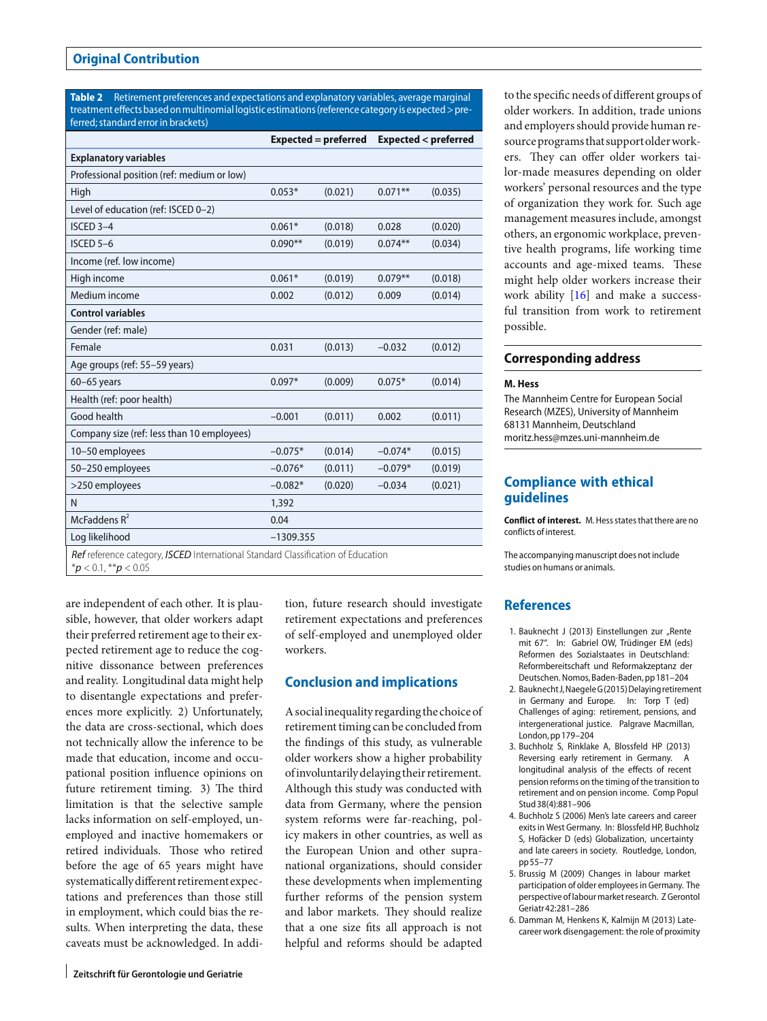**Table 2** Retirement preferences and expectations and explanatory variables, average marginal treatment effects based on multinomial logistic estimations (reference category is expected > preferred; standard error in brackets)

<span id="page-5-5"></span>

|                                                                                  | Expected = preferred Expected < preferred |         |           |         |  |  |  |  |
|----------------------------------------------------------------------------------|-------------------------------------------|---------|-----------|---------|--|--|--|--|
| <b>Explanatory variables</b>                                                     |                                           |         |           |         |  |  |  |  |
| Professional position (ref: medium or low)                                       |                                           |         |           |         |  |  |  |  |
| High                                                                             | $0.053*$                                  | (0.021) | $0.071**$ | (0.035) |  |  |  |  |
| Level of education (ref: ISCED 0-2)                                              |                                           |         |           |         |  |  |  |  |
| ISCED 3-4                                                                        | $0.061*$                                  | (0.018) | 0.028     | (0.020) |  |  |  |  |
| ISCED 5-6                                                                        | $0.090**$                                 | (0.019) | $0.074**$ | (0.034) |  |  |  |  |
| Income (ref. low income)                                                         |                                           |         |           |         |  |  |  |  |
| High income                                                                      | $0.061*$                                  | (0.019) | $0.079**$ | (0.018) |  |  |  |  |
| Medium income                                                                    | 0.002                                     | (0.012) | 0.009     | (0.014) |  |  |  |  |
| <b>Control variables</b>                                                         |                                           |         |           |         |  |  |  |  |
| Gender (ref: male)                                                               |                                           |         |           |         |  |  |  |  |
| Female                                                                           | 0.031                                     | (0.013) | $-0.032$  | (0.012) |  |  |  |  |
| Age groups (ref: 55–59 years)                                                    |                                           |         |           |         |  |  |  |  |
| $60-65$ years                                                                    | $0.097*$                                  | (0.009) | $0.075*$  | (0.014) |  |  |  |  |
| Health (ref: poor health)                                                        |                                           |         |           |         |  |  |  |  |
| Good health                                                                      | $-0.001$                                  | (0.011) | 0.002     | (0.011) |  |  |  |  |
| Company size (ref: less than 10 employees)                                       |                                           |         |           |         |  |  |  |  |
| 10-50 employees                                                                  | $-0.075*$                                 | (0.014) | $-0.074*$ | (0.015) |  |  |  |  |
| 50-250 employees                                                                 | $-0.076*$                                 | (0.011) | $-0.079*$ | (0.019) |  |  |  |  |
| >250 employees                                                                   | $-0.082*$                                 | (0.020) | $-0.034$  | (0.021) |  |  |  |  |
| N                                                                                | 1,392                                     |         |           |         |  |  |  |  |
| McFaddens $R^2$                                                                  | 0.04                                      |         |           |         |  |  |  |  |
| Log likelihood                                                                   | $-1309.355$                               |         |           |         |  |  |  |  |
| Definition on other any ICCED International Ctandard Classification of Education |                                           |         |           |         |  |  |  |  |

*Ref* reference category, *ISCED* International Standard Classification of Education \**p* < 0.1, \*\**p* < 0.05

are independent of each other. It is plausible, however, that older workers adapt their preferred retirement age to their expected retirement age to reduce the cognitive dissonance between preferences and reality. Longitudinal data might help to disentangle expectations and preferences more explicitly. 2) Unfortunately, the data are cross-sectional, which does not technically allow the inference to be made that education, income and occupational position influence opinions on future retirement timing. 3) The third limitation is that the selective sample lacks information on self-employed, unemployed and inactive homemakers or retired individuals. Those who retired before the age of 65 years might have systematicallydifferent retirementexpectations and preferences than those still in employment, which could bias the results. When interpreting the data, these caveats must be acknowledged. In addition, future research should investigate retirement expectations and preferences of self-employed and unemployed older workers.

# **Conclusion and implications**

A socialinequality regarding the choice of retirement timing can be concluded from the findings of this study, as vulnerable older workers show a higher probability ofinvoluntarily delaying their retirement. Although this study was conducted with data from Germany, where the pension system reforms were far-reaching, policy makers in other countries, as well as the European Union and other supranational organizations, should consider these developments when implementing further reforms of the pension system and labor markets. They should realize that a one size fits all approach is not helpful and reforms should be adapted to the specific needs of different groups of older workers. In addition, trade unions and employers should provide human resource programs that supportolderworkers. They can offer older workers tailor-made measures depending on older workers' personal resources and the type of organization they work for. Such age management measures include, amongst others, an ergonomic workplace, preventive health programs, life working time accounts and age-mixed teams. These might help older workers increase their work ability [\[16\]](#page-6-20) and make a successful transition from work to retirement possible.

## **Corresponding address**

#### **M. Hess**

The Mannheim Centre for European Social Research (MZES), University of Mannheim 68131 Mannheim, Deutschland moritz.hess@mzes.uni-mannheim.de

# **Compliance with ethical guidelines**

**Conflict of interest.** M. Hess states that there are no conflicts of interest.

The accompanying manuscript does not include studies on humans or animals.

# **References**

- <span id="page-5-3"></span>1. Bauknecht J (2013) Einstellungen zur "Rente mit 67". In: Gabriel OW, Trüdinger EM (eds) Reformen des Sozialstaates in Deutschland: Reformbereitschaft und Reformakzeptanz der Deutschen. Nomos, Baden-Baden, pp181–204
- <span id="page-5-0"></span>2. Bauknecht J, Naegele G (2015) Delaying retirement in Germany and Europe. In: Torp T (ed) Challenges of aging: retirement, pensions, and intergenerational justice. Palgrave Macmillan, London, pp179–204
- <span id="page-5-1"></span>3. Buchholz S, Rinklake A, Blossfeld HP (2013) Reversing early retirement in Germany. A longitudinal analysis of the effects of recent pension reforms on the timing of the transition to retirement and on pension income. Comp Popul Stud38(4):881–906
- <span id="page-5-2"></span>4. Buchholz S (2006) Men's late careers and career exits in West Germany. In: Blossfeld HP, Buchholz S, Hofäcker D (eds) Globalization, uncertainty and late careers in society. Routledge, London, pp55–77
- <span id="page-5-4"></span>5. Brussig M (2009) Changes in labour market participation of older employees in Germany. The perspective of labour market research. Z Gerontol Geriatr42:281–286
- <span id="page-5-6"></span>6. Damman M, Henkens K, Kalmijn M (2013) Latecareer work disengagement: the role of proximity